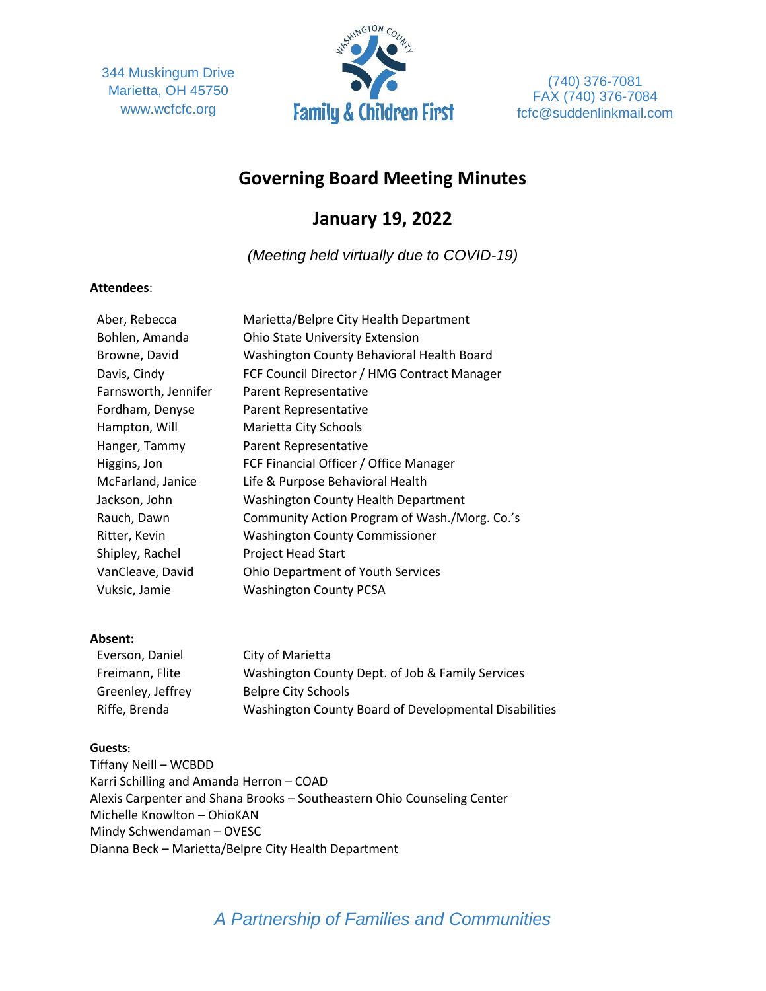344 Muskingum Drive Marietta, OH 45750 www.wcfcfc.org



(740) 376-7081 FAX (740) 376-7084 fcfc@suddenlinkmail.com

# **Governing Board Meeting Minutes**

# **January 19, 2022**

*(Meeting held virtually due to COVID-19)*

#### **Attendees**:

| Aber, Rebecca        | Marietta/Belpre City Health Department        |
|----------------------|-----------------------------------------------|
| Bohlen, Amanda       | <b>Ohio State University Extension</b>        |
| Browne, David        | Washington County Behavioral Health Board     |
| Davis, Cindy         | FCF Council Director / HMG Contract Manager   |
| Farnsworth, Jennifer | Parent Representative                         |
| Fordham, Denyse      | Parent Representative                         |
| Hampton, Will        | Marietta City Schools                         |
| Hanger, Tammy        | Parent Representative                         |
| Higgins, Jon         | FCF Financial Officer / Office Manager        |
| McFarland, Janice    | Life & Purpose Behavioral Health              |
| Jackson, John        | Washington County Health Department           |
| Rauch, Dawn          | Community Action Program of Wash./Morg. Co.'s |
| Ritter, Kevin        | <b>Washington County Commissioner</b>         |
| Shipley, Rachel      | Project Head Start                            |
| VanCleave, David     | <b>Ohio Department of Youth Services</b>      |
| Vuksic, Jamie        | <b>Washington County PCSA</b>                 |
|                      |                                               |

### **Absent:**

| Everson, Daniel   | City of Marietta                                      |
|-------------------|-------------------------------------------------------|
| Freimann, Flite   | Washington County Dept. of Job & Family Services      |
| Greenley, Jeffrey | <b>Belpre City Schools</b>                            |
| Riffe, Brenda     | Washington County Board of Developmental Disabilities |

### **Guests**:

Tiffany Neill – WCBDD Karri Schilling and Amanda Herron – COAD Alexis Carpenter and Shana Brooks – Southeastern Ohio Counseling Center Michelle Knowlton – OhioKAN Mindy Schwendaman – OVESC Dianna Beck – Marietta/Belpre City Health Department

# *A Partnership of Families and Communities*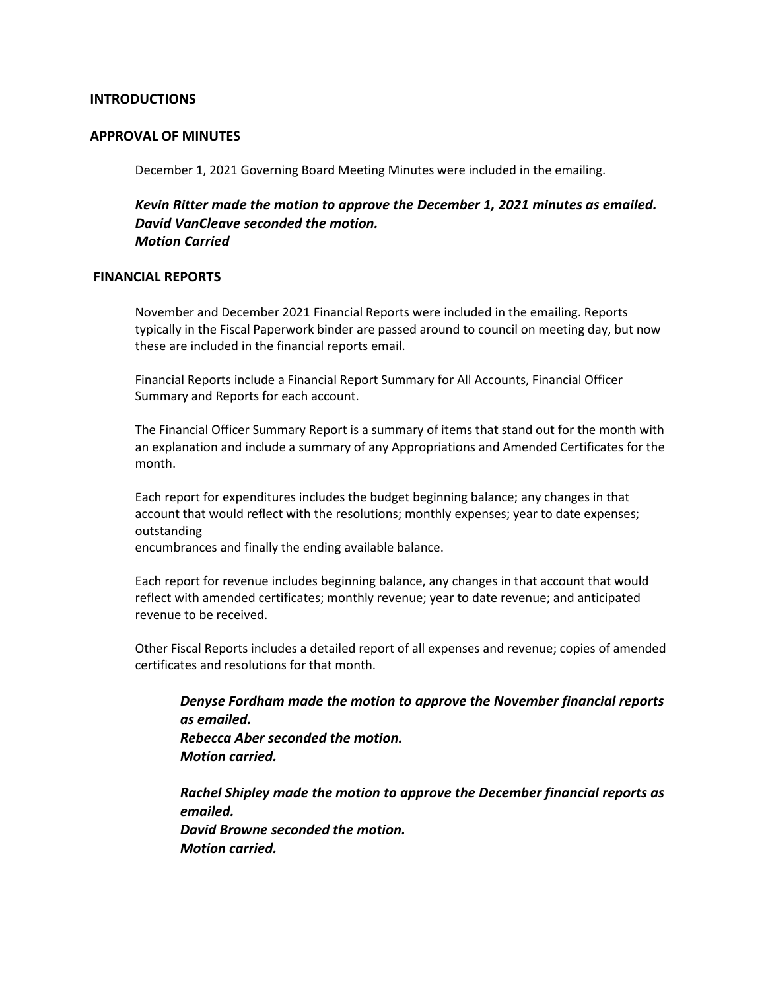### **INTRODUCTIONS**

#### **APPROVAL OF MINUTES**

December 1, 2021 Governing Board Meeting Minutes were included in the emailing.

*Kevin Ritter made the motion to approve the December 1, 2021 minutes as emailed. David VanCleave seconded the motion. Motion Carried*

#### **FINANCIAL REPORTS**

November and December 2021 Financial Reports were included in the emailing. Reports typically in the Fiscal Paperwork binder are passed around to council on meeting day, but now these are included in the financial reports email.

Financial Reports include a Financial Report Summary for All Accounts, Financial Officer Summary and Reports for each account.

The Financial Officer Summary Report is a summary of items that stand out for the month with an explanation and include a summary of any Appropriations and Amended Certificates for the month.

Each report for expenditures includes the budget beginning balance; any changes in that account that would reflect with the resolutions; monthly expenses; year to date expenses; outstanding

encumbrances and finally the ending available balance.

Each report for revenue includes beginning balance, any changes in that account that would reflect with amended certificates; monthly revenue; year to date revenue; and anticipated revenue to be received.

Other Fiscal Reports includes a detailed report of all expenses and revenue; copies of amended certificates and resolutions for that month.

*Denyse Fordham made the motion to approve the November financial reports as emailed. Rebecca Aber seconded the motion. Motion carried.*

*Rachel Shipley made the motion to approve the December financial reports as emailed. David Browne seconded the motion. Motion carried.*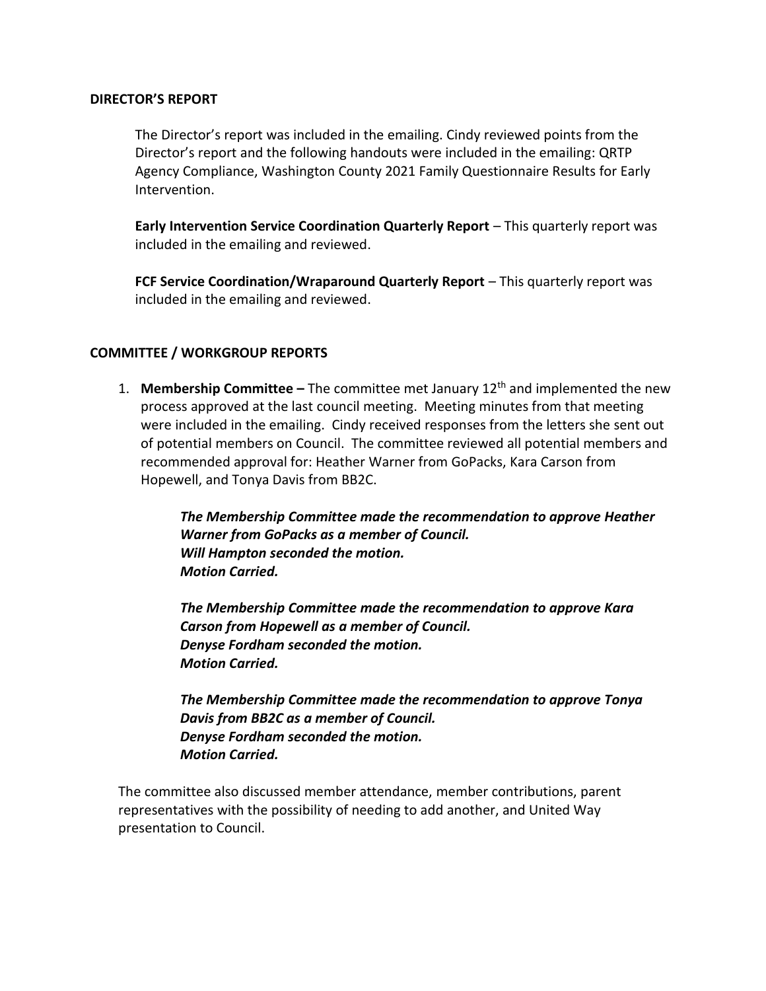## **DIRECTOR'S REPORT**

The Director's report was included in the emailing. Cindy reviewed points from the Director's report and the following handouts were included in the emailing: QRTP Agency Compliance, Washington County 2021 Family Questionnaire Results for Early Intervention.

**Early Intervention Service Coordination Quarterly Report** – This quarterly report was included in the emailing and reviewed.

**FCF Service Coordination/Wraparound Quarterly Report** – This quarterly report was included in the emailing and reviewed.

## **COMMITTEE / WORKGROUP REPORTS**

1. **Membership Committee –** The committee met January 12th and implemented the new process approved at the last council meeting. Meeting minutes from that meeting were included in the emailing. Cindy received responses from the letters she sent out of potential members on Council. The committee reviewed all potential members and recommended approval for: Heather Warner from GoPacks, Kara Carson from Hopewell, and Tonya Davis from BB2C.

> *The Membership Committee made the recommendation to approve Heather Warner from GoPacks as a member of Council. Will Hampton seconded the motion. Motion Carried.*

*The Membership Committee made the recommendation to approve Kara Carson from Hopewell as a member of Council. Denyse Fordham seconded the motion. Motion Carried.* 

*The Membership Committee made the recommendation to approve Tonya Davis from BB2C as a member of Council. Denyse Fordham seconded the motion. Motion Carried.* 

The committee also discussed member attendance, member contributions, parent representatives with the possibility of needing to add another, and United Way presentation to Council.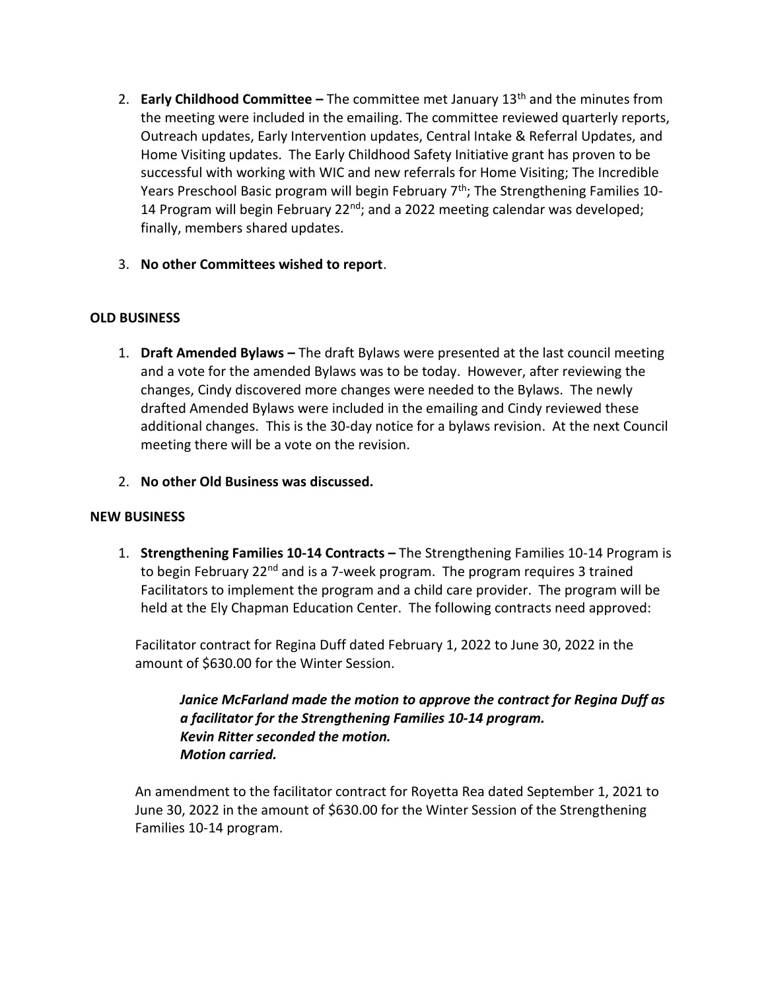- 2. **Early Childhood Committee –** The committee met January 13th and the minutes from the meeting were included in the emailing. The committee reviewed quarterly reports, Outreach updates, Early Intervention updates, Central Intake & Referral Updates, and Home Visiting updates. The Early Childhood Safety Initiative grant has proven to be successful with working with WIC and new referrals for Home Visiting; The Incredible Years Preschool Basic program will begin February  $7<sup>th</sup>$ ; The Strengthening Families 10-14 Program will begin February 22 $^{nd}$ ; and a 2022 meeting calendar was developed; finally, members shared updates.
- 3. **No other Committees wished to report**.

## **OLD BUSINESS**

- 1. **Draft Amended Bylaws –** The draft Bylaws were presented at the last council meeting and a vote for the amended Bylaws was to be today. However, after reviewing the changes, Cindy discovered more changes were needed to the Bylaws. The newly drafted Amended Bylaws were included in the emailing and Cindy reviewed these additional changes. This is the 30-day notice for a bylaws revision. At the next Council meeting there will be a vote on the revision.
- 2. **No other Old Business was discussed.**

## **NEW BUSINESS**

1. **Strengthening Families 10-14 Contracts –** The Strengthening Families 10-14 Program is to begin February 22<sup>nd</sup> and is a 7-week program. The program requires 3 trained Facilitators to implement the program and a child care provider. The program will be held at the Ely Chapman Education Center. The following contracts need approved:

Facilitator contract for Regina Duff dated February 1, 2022 to June 30, 2022 in the amount of \$630.00 for the Winter Session.

*Janice McFarland made the motion to approve the contract for Regina Duff as a facilitator for the Strengthening Families 10-14 program. Kevin Ritter seconded the motion. Motion carried.* 

An amendment to the facilitator contract for Royetta Rea dated September 1, 2021 to June 30, 2022 in the amount of \$630.00 for the Winter Session of the Strengthening Families 10-14 program.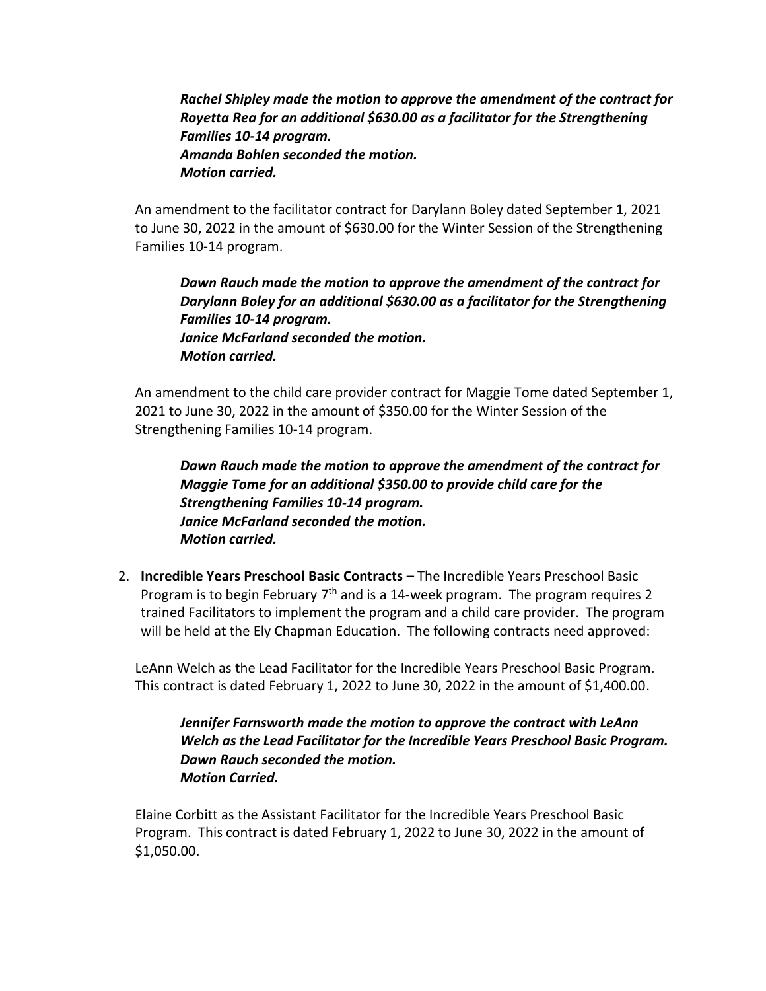*Rachel Shipley made the motion to approve the amendment of the contract for Royetta Rea for an additional \$630.00 as a facilitator for the Strengthening Families 10-14 program. Amanda Bohlen seconded the motion. Motion carried.* 

An amendment to the facilitator contract for Darylann Boley dated September 1, 2021 to June 30, 2022 in the amount of \$630.00 for the Winter Session of the Strengthening Families 10-14 program.

*Dawn Rauch made the motion to approve the amendment of the contract for Darylann Boley for an additional \$630.00 as a facilitator for the Strengthening Families 10-14 program. Janice McFarland seconded the motion. Motion carried.* 

An amendment to the child care provider contract for Maggie Tome dated September 1, 2021 to June 30, 2022 in the amount of \$350.00 for the Winter Session of the Strengthening Families 10-14 program.

*Dawn Rauch made the motion to approve the amendment of the contract for Maggie Tome for an additional \$350.00 to provide child care for the Strengthening Families 10-14 program. Janice McFarland seconded the motion. Motion carried.* 

2. **Incredible Years Preschool Basic Contracts –** The Incredible Years Preschool Basic Program is to begin February 7<sup>th</sup> and is a 14-week program. The program requires 2 trained Facilitators to implement the program and a child care provider. The program will be held at the Ely Chapman Education. The following contracts need approved:

LeAnn Welch as the Lead Facilitator for the Incredible Years Preschool Basic Program. This contract is dated February 1, 2022 to June 30, 2022 in the amount of  $$1,400.00$ .

*Jennifer Farnsworth made the motion to approve the contract with LeAnn Welch as the Lead Facilitator for the Incredible Years Preschool Basic Program. Dawn Rauch seconded the motion. Motion Carried.* 

Elaine Corbitt as the Assistant Facilitator for the Incredible Years Preschool Basic Program. This contract is dated February 1, 2022 to June 30, 2022 in the amount of \$1,050.00.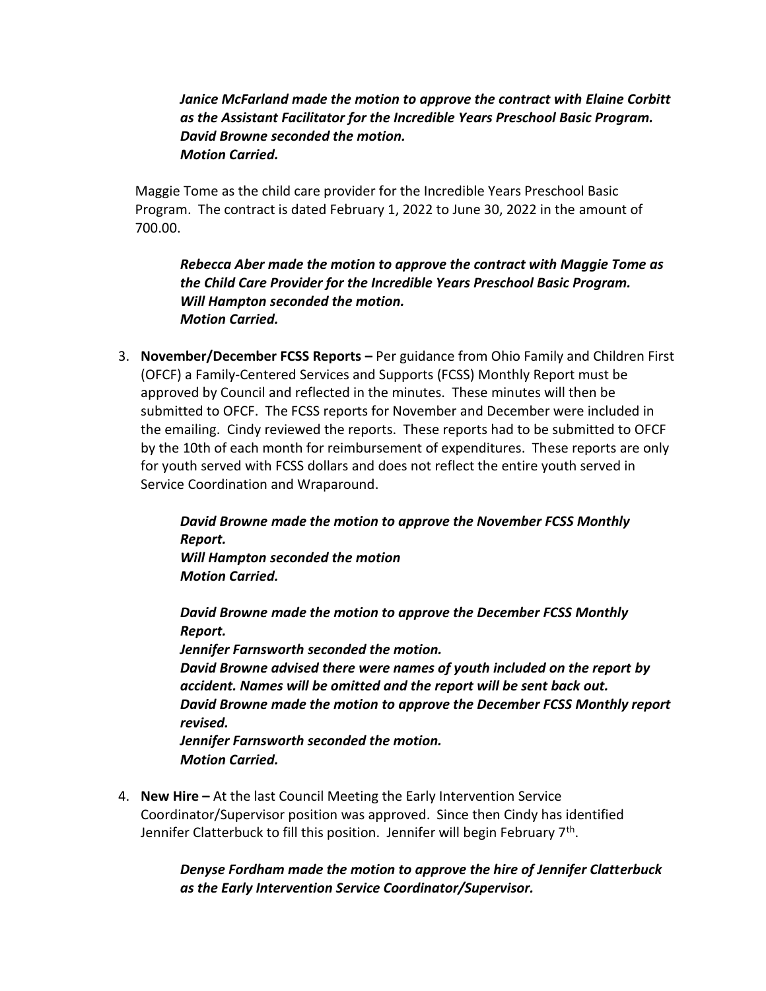*Janice McFarland made the motion to approve the contract with Elaine Corbitt as the Assistant Facilitator for the Incredible Years Preschool Basic Program. David Browne seconded the motion. Motion Carried.* 

Maggie Tome as the child care provider for the Incredible Years Preschool Basic Program. The contract is dated February 1, 2022 to June 30, 2022 in the amount of 700.00.

*Rebecca Aber made the motion to approve the contract with Maggie Tome as the Child Care Provider for the Incredible Years Preschool Basic Program. Will Hampton seconded the motion. Motion Carried.* 

3. **November/December FCSS Reports –** Per guidance from Ohio Family and Children First (OFCF) a Family-Centered Services and Supports (FCSS) Monthly Report must be approved by Council and reflected in the minutes. These minutes will then be submitted to OFCF. The FCSS reports for November and December were included in the emailing. Cindy reviewed the reports. These reports had to be submitted to OFCF by the 10th of each month for reimbursement of expenditures. These reports are only for youth served with FCSS dollars and does not reflect the entire youth served in Service Coordination and Wraparound.

> *David Browne made the motion to approve the November FCSS Monthly Report. Will Hampton seconded the motion Motion Carried.*

> *David Browne made the motion to approve the December FCSS Monthly Report. Jennifer Farnsworth seconded the motion.*

*David Browne advised there were names of youth included on the report by accident. Names will be omitted and the report will be sent back out. David Browne made the motion to approve the December FCSS Monthly report revised.* 

*Jennifer Farnsworth seconded the motion. Motion Carried.* 

4. **New Hire –** At the last Council Meeting the Early Intervention Service Coordinator/Supervisor position was approved. Since then Cindy has identified Jennifer Clatterbuck to fill this position. Jennifer will begin February 7<sup>th</sup>.

## *Denyse Fordham made the motion to approve the hire of Jennifer Clatterbuck as the Early Intervention Service Coordinator/Supervisor.*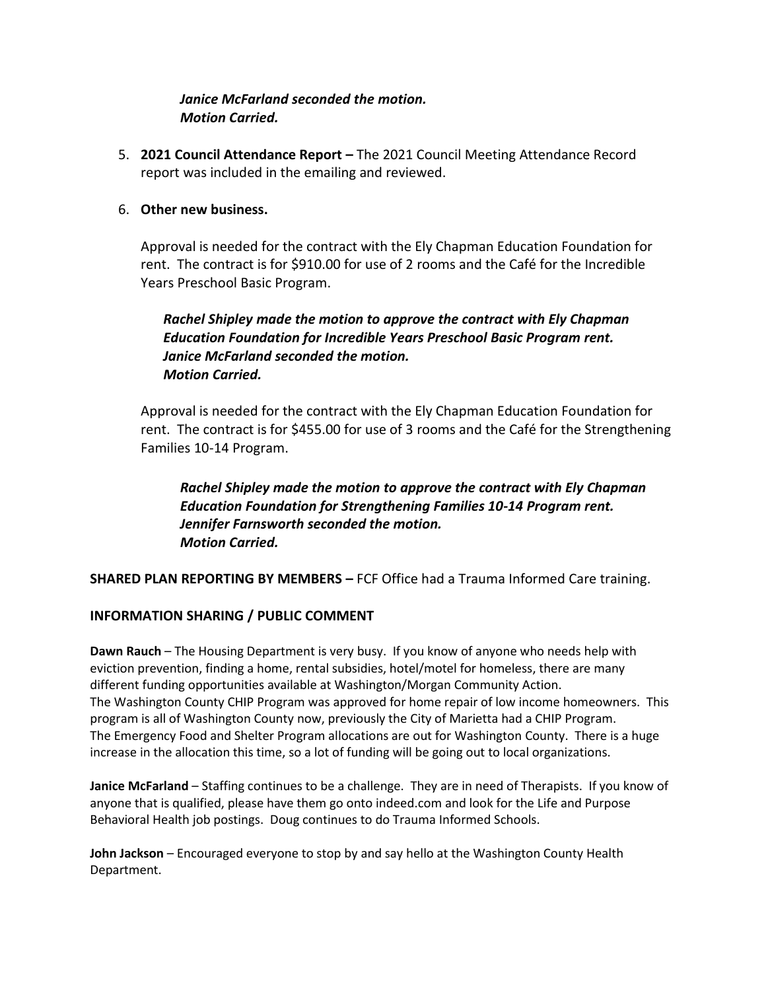# *Janice McFarland seconded the motion. Motion Carried.*

5. **2021 Council Attendance Report –** The 2021 Council Meeting Attendance Record report was included in the emailing and reviewed.

## 6. **Other new business.**

Approval is needed for the contract with the Ely Chapman Education Foundation for rent. The contract is for \$910.00 for use of 2 rooms and the Café for the Incredible Years Preschool Basic Program.

# *Rachel Shipley made the motion to approve the contract with Ely Chapman Education Foundation for Incredible Years Preschool Basic Program rent. Janice McFarland seconded the motion. Motion Carried.*

Approval is needed for the contract with the Ely Chapman Education Foundation for rent. The contract is for \$455.00 for use of 3 rooms and the Café for the Strengthening Families 10-14 Program.

*Rachel Shipley made the motion to approve the contract with Ely Chapman Education Foundation for Strengthening Families 10-14 Program rent. Jennifer Farnsworth seconded the motion. Motion Carried.* 

**SHARED PLAN REPORTING BY MEMBERS –** FCF Office had a Trauma Informed Care training.

## **INFORMATION SHARING / PUBLIC COMMENT**

**Dawn Rauch** – The Housing Department is very busy. If you know of anyone who needs help with eviction prevention, finding a home, rental subsidies, hotel/motel for homeless, there are many different funding opportunities available at Washington/Morgan Community Action. The Washington County CHIP Program was approved for home repair of low income homeowners. This program is all of Washington County now, previously the City of Marietta had a CHIP Program. The Emergency Food and Shelter Program allocations are out for Washington County. There is a huge increase in the allocation this time, so a lot of funding will be going out to local organizations.

**Janice McFarland** – Staffing continues to be a challenge. They are in need of Therapists. If you know of anyone that is qualified, please have them go onto indeed.com and look for the Life and Purpose Behavioral Health job postings. Doug continues to do Trauma Informed Schools.

**John Jackson** – Encouraged everyone to stop by and say hello at the Washington County Health Department.